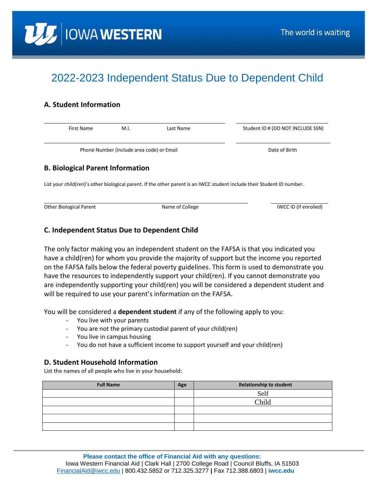

# 2022-2023 Independent Status Due to Dependent Child

## **A. Student Information**

| First Name                                                                                                              | M.I.                                      | Last Name     | Student ID # (DO NOT INCLUDE SSN) |  |  |  |
|-------------------------------------------------------------------------------------------------------------------------|-------------------------------------------|---------------|-----------------------------------|--|--|--|
|                                                                                                                         |                                           |               |                                   |  |  |  |
|                                                                                                                         | Phone Number (include area code) or Email | Date of Birth |                                   |  |  |  |
| <b>B. Biological Parent Information</b>                                                                                 |                                           |               |                                   |  |  |  |
| List your child(ren)'s other biological parent. If the other parent is an IWCC student include their Student ID number. |                                           |               |                                   |  |  |  |

Other Biological Parent **Name of College** INCC ID (if enrolled) and the Name of College Inc. **IWCC ID** (if enrolled)

### **C. Independent Status Due to Dependent Child**

The only factor making you an independent student on the FAFSA is that you indicated you have a child(ren) for whom you provide the majority of support but the income you reported on the FAFSA falls below the federal poverty guidelines. This form is used to demonstrate you have the resources to independently support your child(ren). If you cannot demonstrate you are independently supporting your child(ren) you will be considered a dependent student and will be required to use your parent's information on the FAFSA.

You will be considered a **dependent student** if any of the following apply to you:

- You live with your parents
- You are not the primary custodial parent of your child(ren)
- You live in campus housing
- You do not have a sufficient income to support yourself and your child(ren)

#### **D. Student Household Information**

List the names of all people who live in your household:

| <b>Full Name</b> | Age | <b>Relationship to student</b> |
|------------------|-----|--------------------------------|
|                  |     | Self                           |
|                  |     | Child                          |
|                  |     |                                |
|                  |     |                                |
|                  |     |                                |